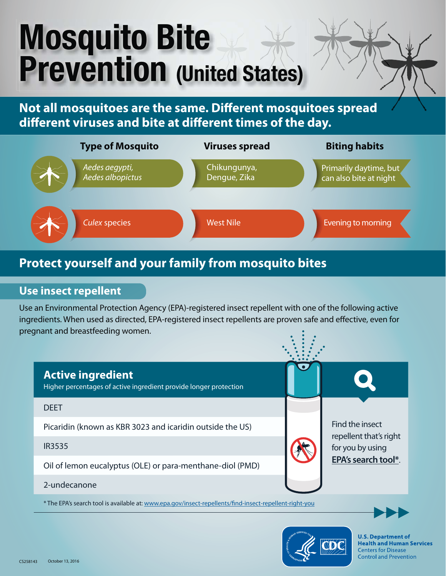# **Mosquito Bite Prevention (United States)**

**Not all mosquitoes are the same. Different mosquitoes spread different viruses and bite at different times of the day.**



# **Protect yourself and your family from mosquito bites**

## **Use insect repellent**

Use an Environmental Protection Agency (EPA)-registered insect repellent with one of the following active ingredients. When used as directed, EPA-registered insect repellents are proven safe and effective, even for pregnant and breastfeeding women.



\* The EPA's search tool is available at: www.epa.gov/insect-repellents/find-insect-repellent-right-you





**U.S. Department of Health and Human Services Centers for Disease Control and Prevention**